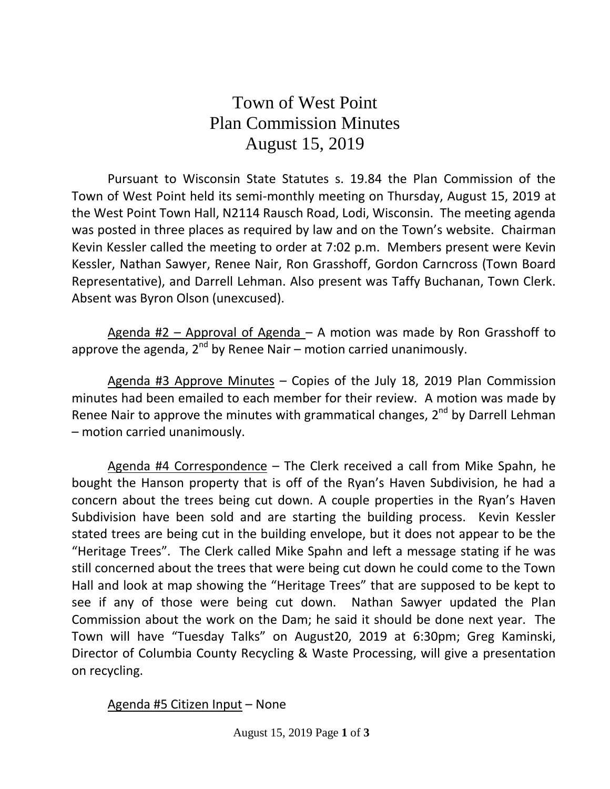## Town of West Point Plan Commission Minutes August 15, 2019

Pursuant to Wisconsin State Statutes s. 19.84 the Plan Commission of the Town of West Point held its semi-monthly meeting on Thursday, August 15, 2019 at the West Point Town Hall, N2114 Rausch Road, Lodi, Wisconsin. The meeting agenda was posted in three places as required by law and on the Town's website. Chairman Kevin Kessler called the meeting to order at 7:02 p.m. Members present were Kevin Kessler, Nathan Sawyer, Renee Nair, Ron Grasshoff, Gordon Carncross (Town Board Representative), and Darrell Lehman. Also present was Taffy Buchanan, Town Clerk. Absent was Byron Olson (unexcused).

Agenda #2 – Approval of Agenda – A motion was made by Ron Grasshoff to approve the agenda, 2<sup>nd</sup> by Renee Nair – motion carried unanimously.

Agenda #3 Approve Minutes - Copies of the July 18, 2019 Plan Commission minutes had been emailed to each member for their review. A motion was made by Renee Nair to approve the minutes with grammatical changes,  $2^{nd}$  by Darrell Lehman – motion carried unanimously.

Agenda #4 Correspondence – The Clerk received a call from Mike Spahn, he bought the Hanson property that is off of the Ryan's Haven Subdivision, he had a concern about the trees being cut down. A couple properties in the Ryan's Haven Subdivision have been sold and are starting the building process. Kevin Kessler stated trees are being cut in the building envelope, but it does not appear to be the "Heritage Trees". The Clerk called Mike Spahn and left a message stating if he was still concerned about the trees that were being cut down he could come to the Town Hall and look at map showing the "Heritage Trees" that are supposed to be kept to see if any of those were being cut down. Nathan Sawyer updated the Plan Commission about the work on the Dam; he said it should be done next year. The Town will have "Tuesday Talks" on August20, 2019 at 6:30pm; Greg Kaminski, Director of Columbia County Recycling & Waste Processing, will give a presentation on recycling.

## Agenda #5 Citizen Input – None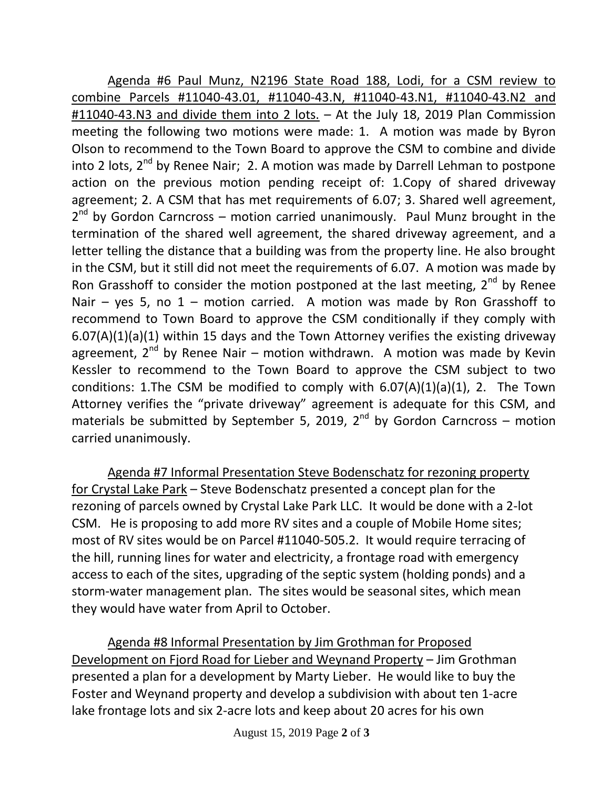Agenda #6 Paul Munz, N2196 State Road 188, Lodi, for a CSM review to combine Parcels #11040-43.01, #11040-43.N, #11040-43.N1, #11040-43.N2 and #11040-43.N3 and divide them into 2 lots. – At the July 18, 2019 Plan Commission meeting the following two motions were made: 1. A motion was made by Byron Olson to recommend to the Town Board to approve the CSM to combine and divide into 2 lots, 2<sup>nd</sup> by Renee Nair; 2. A motion was made by Darrell Lehman to postpone action on the previous motion pending receipt of: 1.Copy of shared driveway agreement; 2. A CSM that has met requirements of 6.07; 3. Shared well agreement, 2<sup>nd</sup> by Gordon Carncross – motion carried unanimously. Paul Munz brought in the termination of the shared well agreement, the shared driveway agreement, and a letter telling the distance that a building was from the property line. He also brought in the CSM, but it still did not meet the requirements of 6.07. A motion was made by Ron Grasshoff to consider the motion postponed at the last meeting,  $2<sup>nd</sup>$  by Renee Nair – yes 5, no  $1$  – motion carried. A motion was made by Ron Grasshoff to recommend to Town Board to approve the CSM conditionally if they comply with 6.07(A)(1)(a)(1) within 15 days and the Town Attorney verifies the existing driveway agreement,  $2^{nd}$  by Renee Nair – motion withdrawn. A motion was made by Kevin Kessler to recommend to the Town Board to approve the CSM subject to two conditions: 1. The CSM be modified to comply with  $6.07(A)(1)(a)(1)$ , 2. The Town Attorney verifies the "private driveway" agreement is adequate for this CSM, and materials be submitted by September 5, 2019,  $2^{nd}$  by Gordon Carncross – motion carried unanimously.

Agenda #7 Informal Presentation Steve Bodenschatz for rezoning property for Crystal Lake Park – Steve Bodenschatz presented a concept plan for the rezoning of parcels owned by Crystal Lake Park LLC. It would be done with a 2-lot CSM. He is proposing to add more RV sites and a couple of Mobile Home sites; most of RV sites would be on Parcel #11040-505.2. It would require terracing of the hill, running lines for water and electricity, a frontage road with emergency access to each of the sites, upgrading of the septic system (holding ponds) and a storm-water management plan. The sites would be seasonal sites, which mean they would have water from April to October.

Agenda #8 Informal Presentation by Jim Grothman for Proposed Development on Fjord Road for Lieber and Weynand Property – Jim Grothman presented a plan for a development by Marty Lieber. He would like to buy the Foster and Weynand property and develop a subdivision with about ten 1-acre lake frontage lots and six 2-acre lots and keep about 20 acres for his own